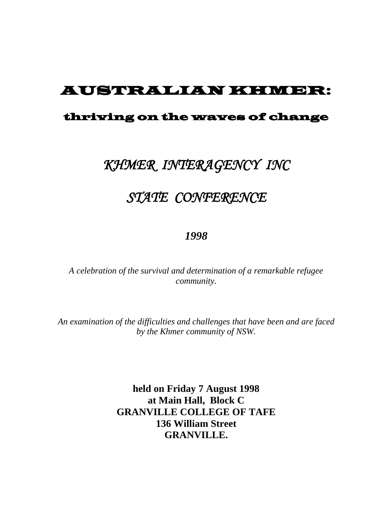## AUSTRALIAN KHMER:

#### thriving on the waves of change

## *KHMER INTERAGENCY INC*

# *STATE CONFERENCE*

#### *1998*

*A celebration of the survival and determination of a remarkable refugee community.*

*An examination of the difficulties and challenges that have been and are faced by the Khmer community of NSW.*

> **held on Friday 7 August 1998 at Main Hall, Block C GRANVILLE COLLEGE OF TAFE 136 William Street GRANVILLE.**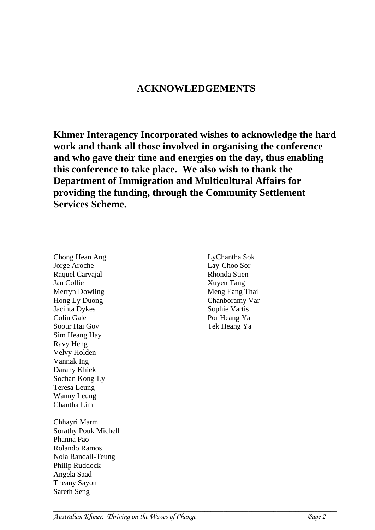## **ACKNOWLEDGEMENTS**

**Khmer Interagency Incorporated wishes to acknowledge the hard work and thank all those involved in organising the conference and who gave their time and energies on the day, thus enabling this conference to take place. We also wish to thank the Department of Immigration and Multicultural Affairs for providing the funding, through the Community Settlement Services Scheme.**

Raquel Carvajal Jan Collie Merryn Dowling Hong Ly Duong Jacinta Dykes Colin Gale Soour Hai Gov Sim Heang Hay Ravy Heng Velvy Holden Vannak Ing Darany Khiek Sochan Kong-Ly Teresa Leung Wanny Leung Chantha Lim Chhayri Marm Sorathy Pouk Michell Phanna Pao Rolando Ramos Nola Randall-Teung Philip Ruddock Angela Saad Theany Sayon Sareth Seng

Chong Hean Ang Jorge Aroche

LyChantha Sok Lay-Choo Sor Rhonda Stien Xuyen Tang Meng Eang Thai Chanboramy Var Sophie Vartis Por Heang Ya Tek Heang Ya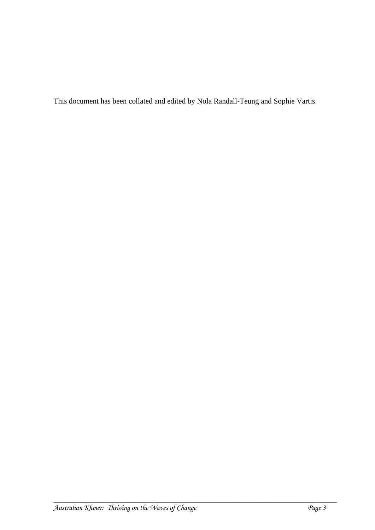This document has been collated and edited by Nola Randall-Teung and Sophie Vartis.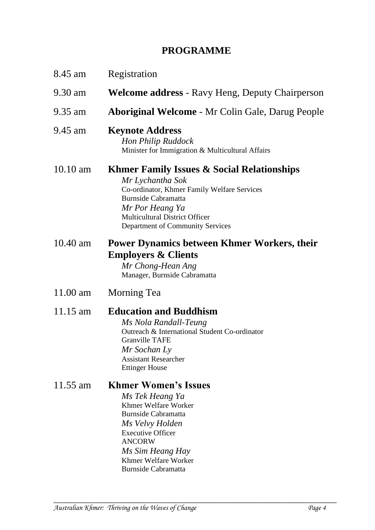## **PROGRAMME**

| 8.45 am    | Registration                                                                                                                                                                                                                                           |
|------------|--------------------------------------------------------------------------------------------------------------------------------------------------------------------------------------------------------------------------------------------------------|
| 9.30 am    | <b>Welcome address</b> - Ravy Heng, Deputy Chairperson                                                                                                                                                                                                 |
| 9.35 am    | <b>Aboriginal Welcome - Mr Colin Gale, Darug People</b>                                                                                                                                                                                                |
| 9.45 am    | <b>Keynote Address</b><br>Hon Philip Ruddock<br>Minister for Immigration & Multicultural Affairs                                                                                                                                                       |
| $10.10$ am | <b>Khmer Family Issues &amp; Social Relationships</b><br>Mr Lychantha Sok<br>Co-ordinator, Khmer Family Welfare Services<br><b>Burnside Cabramatta</b><br>Mr Por Heang Ya<br><b>Multicultural District Officer</b><br>Department of Community Services |
| $10.40$ am | <b>Power Dynamics between Khmer Workers, their</b><br><b>Employers &amp; Clients</b><br>Mr Chong-Hean Ang<br>Manager, Burnside Cabramatta                                                                                                              |
| $11.00$ am | Morning Tea                                                                                                                                                                                                                                            |
| $11.15$ am | <b>Education and Buddhism</b><br>Ms Nola Randall-Teung<br>Outreach & International Student Co-ordinator<br><b>Granville TAFE</b><br>Mr Sochan Ly<br><b>Assistant Researcher</b><br><b>Ettinger House</b>                                               |
| 11.55 am   | <b>Khmer Women's Issues</b><br>Ms Tek Heang Ya<br>Khmer Welfare Worker<br><b>Burnside Cabramatta</b><br>Ms Velvy Holden<br><b>Executive Officer</b><br><b>ANCORW</b><br>Ms Sim Heang Hay                                                               |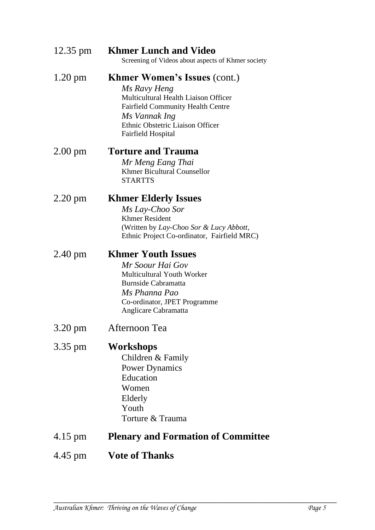| 12.35 pm          | <b>Khmer Lunch and Video</b><br>Screening of Videos about aspects of Khmer society                                                                                                                                 |
|-------------------|--------------------------------------------------------------------------------------------------------------------------------------------------------------------------------------------------------------------|
| $1.20 \text{ pm}$ | <b>Khmer Women's Issues (cont.)</b><br>Ms Ravy Heng<br>Multicultural Health Liaison Officer<br><b>Fairfield Community Health Centre</b><br>Ms Vannak Ing<br>Ethnic Obstetric Liaison Officer<br>Fairfield Hospital |
| $2.00 \text{ pm}$ | <b>Torture and Trauma</b><br>Mr Meng Eang Thai<br><b>Khmer Bicultural Counsellor</b><br><b>STARTTS</b>                                                                                                             |
| $2.20 \text{ pm}$ | <b>Khmer Elderly Issues</b><br>Ms Lay-Choo Sor<br><b>Khmer Resident</b><br>(Written by Lay-Choo Sor & Lucy Abbott,<br>Ethnic Project Co-ordinator, Fairfield MRC)                                                  |
| $2.40 \text{ pm}$ | <b>Khmer Youth Issues</b><br>Mr Soour Hai Gov<br><b>Multicultural Youth Worker</b><br>Burnside Cabramatta<br>Ms Phanna Pao<br>Co-ordinator, JPET Programme<br>Anglicare Cabramatta                                 |
| 3.20 pm           | Afternoon Tea                                                                                                                                                                                                      |
| 3.35 pm           | <b>Workshops</b><br>Children & Family<br><b>Power Dynamics</b><br>Education<br>Women<br>Elderly<br>Youth<br>Torture & Trauma                                                                                       |
| 4.15 pm           | <b>Plenary and Formation of Committee</b>                                                                                                                                                                          |
| 4.45 pm           | <b>Vote of Thanks</b>                                                                                                                                                                                              |
|                   |                                                                                                                                                                                                                    |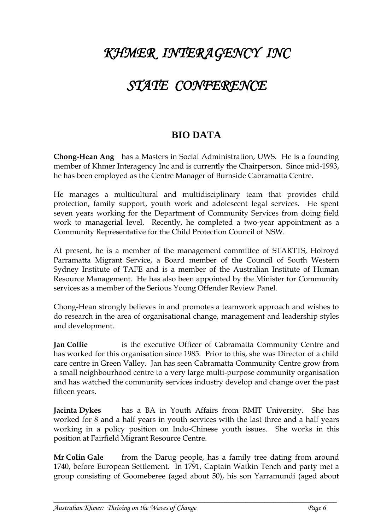# *KHMER INTERAGENCY INC*

## *STATE CONFERENCE*

## **BIO DATA**

**Chong-Hean Ang** has a Masters in Social Administration, UWS. He is a founding member of Khmer Interagency Inc and is currently the Chairperson. Since mid-1993, he has been employed as the Centre Manager of Burnside Cabramatta Centre.

He manages a multicultural and multidisciplinary team that provides child protection, family support, youth work and adolescent legal services. He spent seven years working for the Department of Community Services from doing field work to managerial level. Recently, he completed a two-year appointment as a Community Representative for the Child Protection Council of NSW.

At present, he is a member of the management committee of STARTTS, Holroyd Parramatta Migrant Service, a Board member of the Council of South Western Sydney Institute of TAFE and is a member of the Australian Institute of Human Resource Management. He has also been appointed by the Minister for Community services as a member of the Serious Young Offender Review Panel.

Chong-Hean strongly believes in and promotes a teamwork approach and wishes to do research in the area of organisational change, management and leadership styles and development.

**Jan Collie** is the executive Officer of Cabramatta Community Centre and has worked for this organisation since 1985. Prior to this, she was Director of a child care centre in Green Valley. Jan has seen Cabramatta Community Centre grow from a small neighbourhood centre to a very large multi-purpose community organisation and has watched the community services industry develop and change over the past fifteen years.

**Jacinta Dykes** has a BA in Youth Affairs from RMIT University. She has worked for 8 and a half years in youth services with the last three and a half years working in a policy position on Indo-Chinese youth issues. She works in this position at Fairfield Migrant Resource Centre.

**Mr Colin Gale** from the Darug people, has a family tree dating from around 1740, before European Settlement. In 1791, Captain Watkin Tench and party met a group consisting of Goomeberee (aged about 50), his son Yarramundi (aged about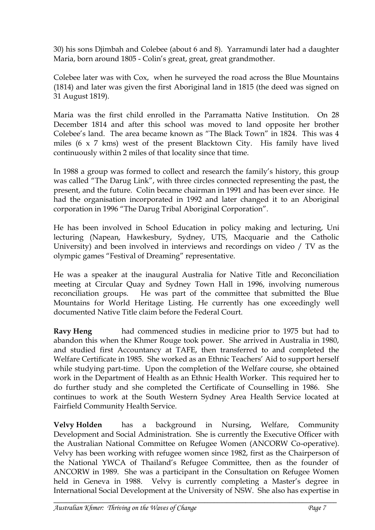30) his sons Djimbah and Colebee (about 6 and 8). Yarramundi later had a daughter Maria, born around 1805 - Colin's great, great, great grandmother.

Colebee later was with Cox, when he surveyed the road across the Blue Mountains (1814) and later was given the first Aboriginal land in 1815 (the deed was signed on 31 August 1819).

Maria was the first child enrolled in the Parramatta Native Institution. On 28 December 1814 and after this school was moved to land opposite her brother Colebee's land. The area became known as "The Black Town" in 1824. This was 4 miles (6 x 7 kms) west of the present Blacktown City. His family have lived continuously within 2 miles of that locality since that time.

In 1988 a group was formed to collect and research the family's history, this group was called "The Darug Link", with three circles connected representing the past, the present, and the future. Colin became chairman in 1991 and has been ever since. He had the organisation incorporated in 1992 and later changed it to an Aboriginal corporation in 1996 "The Darug Tribal Aboriginal Corporation".

He has been involved in School Education in policy making and lecturing, Uni lecturing (Napean, Hawkesbury, Sydney, UTS, Macquarie and the Catholic University) and been involved in interviews and recordings on video / TV as the olympic games "Festival of Dreaming" representative.

He was a speaker at the inaugural Australia for Native Title and Reconciliation meeting at Circular Quay and Sydney Town Hall in 1996, involving numerous reconciliation groups. He was part of the committee that submitted the Blue Mountains for World Heritage Listing. He currently has one exceedingly well documented Native Title claim before the Federal Court.

**Ravy Heng** had commenced studies in medicine prior to 1975 but had to abandon this when the Khmer Rouge took power. She arrived in Australia in 1980, and studied first Accountancy at TAFE, then transferred to and completed the Welfare Certificate in 1985. She worked as an Ethnic Teachers' Aid to support herself while studying part-time. Upon the completion of the Welfare course, she obtained work in the Department of Health as an Ethnic Health Worker. This required her to do further study and she completed the Certificate of Counselling in 1986. She continues to work at the South Western Sydney Area Health Service located at Fairfield Community Health Service.

**Velvy Holden** has a background in Nursing, Welfare, Community Development and Social Administration. She is currently the Executive Officer with the Australian National Committee on Refugee Women (ANCORW Co-operative). Velvy has been working with refugee women since 1982, first as the Chairperson of the National YWCA of Thailand's Refugee Committee, then as the founder of ANCORW in 1989. She was a participant in the Consultation on Refugee Women held in Geneva in 1988. Velvy is currently completing a Master's degree in International Social Development at the University of NSW. She also has expertise in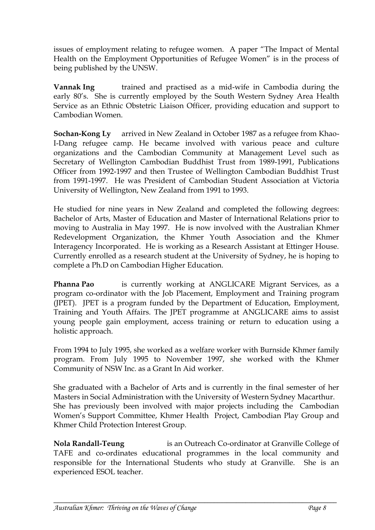issues of employment relating to refugee women. A paper "The Impact of Mental Health on the Employment Opportunities of Refugee Women" is in the process of being published by the UNSW.

**Vannak Ing** trained and practised as a mid-wife in Cambodia during the early 80's. She is currently employed by the South Western Sydney Area Health Service as an Ethnic Obstetric Liaison Officer, providing education and support to Cambodian Women.

**Sochan-Kong Ly** arrived in New Zealand in October 1987 as a refugee from Khao-I-Dang refugee camp. He became involved with various peace and culture organizations and the Cambodian Community at Management Level such as Secretary of Wellington Cambodian Buddhist Trust from 1989-1991, Publications Officer from 1992-1997 and then Trustee of Wellington Cambodian Buddhist Trust from 1991-1997. He was President of Cambodian Student Association at Victoria University of Wellington, New Zealand from 1991 to 1993.

He studied for nine years in New Zealand and completed the following degrees: Bachelor of Arts, Master of Education and Master of International Relations prior to moving to Australia in May 1997. He is now involved with the Australian Khmer Redevelopment Organization, the Khmer Youth Association and the Khmer Interagency Incorporated. He is working as a Research Assistant at Ettinger House. Currently enrolled as a research student at the University of Sydney, he is hoping to complete a Ph.D on Cambodian Higher Education.

**Phanna Pao** is currently working at ANGLICARE Migrant Services, as a program co-ordinator with the Job Placement, Employment and Training program (JPET). JPET is a program funded by the Department of Education, Employment, Training and Youth Affairs. The JPET programme at ANGLICARE aims to assist young people gain employment, access training or return to education using a holistic approach.

From 1994 to July 1995, she worked as a welfare worker with Burnside Khmer family program. From July 1995 to November 1997, she worked with the Khmer Community of NSW Inc. as a Grant In Aid worker.

She graduated with a Bachelor of Arts and is currently in the final semester of her Masters in Social Administration with the University of Western Sydney Macarthur. She has previously been involved with major projects including the Cambodian Women's Support Committee, Khmer Health Project, Cambodian Play Group and Khmer Child Protection Interest Group.

**Nola Randall-Teung** is an Outreach Co-ordinator at Granville College of TAFE and co-ordinates educational programmes in the local community and responsible for the International Students who study at Granville. She is an experienced ESOL teacher.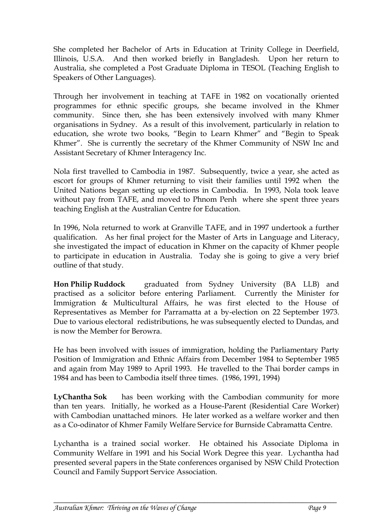She completed her Bachelor of Arts in Education at Trinity College in Deerfield, Illinois, U.S.A. And then worked briefly in Bangladesh. Upon her return to Australia, she completed a Post Graduate Diploma in TESOL (Teaching English to Speakers of Other Languages).

Through her involvement in teaching at TAFE in 1982 on vocationally oriented programmes for ethnic specific groups, she became involved in the Khmer community. Since then, she has been extensively involved with many Khmer organisations in Sydney. As a result of this involvement, particularly in relation to education, she wrote two books, "Begin to Learn Khmer" and "Begin to Speak Khmer". She is currently the secretary of the Khmer Community of NSW Inc and Assistant Secretary of Khmer Interagency Inc.

Nola first travelled to Cambodia in 1987. Subsequently, twice a year, she acted as escort for groups of Khmer returning to visit their families until 1992 when the United Nations began setting up elections in Cambodia. In 1993, Nola took leave without pay from TAFE, and moved to Phnom Penh where she spent three years teaching English at the Australian Centre for Education.

In 1996, Nola returned to work at Granville TAFE, and in 1997 undertook a further qualification. As her final project for the Master of Arts in Language and Literacy, she investigated the impact of education in Khmer on the capacity of Khmer people to participate in education in Australia. Today she is going to give a very brief outline of that study.

**Hon Philip Ruddock** graduated from Sydney University (BA LLB) and practised as a solicitor before entering Parliament. Currently the Minister for Immigration & Multicultural Affairs, he was first elected to the House of Representatives as Member for Parramatta at a by-election on 22 September 1973. Due to various electoral redistributions, he was subsequently elected to Dundas, and is now the Member for Berowra.

He has been involved with issues of immigration, holding the Parliamentary Party Position of Immigration and Ethnic Affairs from December 1984 to September 1985 and again from May 1989 to April 1993. He travelled to the Thai border camps in 1984 and has been to Cambodia itself three times. (1986, 1991, 1994)

**LyChantha Sok** has been working with the Cambodian community for more than ten years. Initially, he worked as a House-Parent (Residential Care Worker) with Cambodian unattached minors. He later worked as a welfare worker and then as a Co-odinator of Khmer Family Welfare Service for Burnside Cabramatta Centre.

Lychantha is a trained social worker. He obtained his Associate Diploma in Community Welfare in 1991 and his Social Work Degree this year. Lychantha had presented several papers in the State conferences organised by NSW Child Protection Council and Family Support Service Association.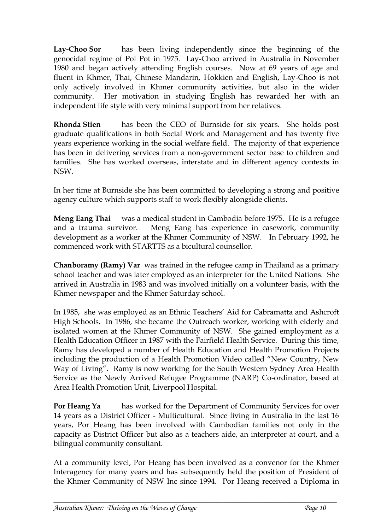**Lay-Choo Sor** has been living independently since the beginning of the genocidal regime of Pol Pot in 1975. Lay-Choo arrived in Australia in November 1980 and began actively attending English courses. Now at 69 years of age and fluent in Khmer, Thai, Chinese Mandarin, Hokkien and English, Lay-Choo is not only actively involved in Khmer community activities, but also in the wider community. Her motivation in studying English has rewarded her with an independent life style with very minimal support from her relatives.

**Rhonda Stien** has been the CEO of Burnside for six years. She holds post graduate qualifications in both Social Work and Management and has twenty five years experience working in the social welfare field. The majority of that experience has been in delivering services from a non-government sector base to children and families. She has worked overseas, interstate and in different agency contexts in NSW.

In her time at Burnside she has been committed to developing a strong and positive agency culture which supports staff to work flexibly alongside clients.

**Meng Eang Thai** was a medical student in Cambodia before 1975. He is a refugee and a trauma survivor. Meng Eang has experience in casework, community development as a worker at the Khmer Community of NSW. In February 1992, he commenced work with STARTTS as a bicultural counsellor.

**Chanboramy (Ramy) Var** was trained in the refugee camp in Thailand as a primary school teacher and was later employed as an interpreter for the United Nations. She arrived in Australia in 1983 and was involved initially on a volunteer basis, with the Khmer newspaper and the Khmer Saturday school.

In 1985, she was employed as an Ethnic Teachers' Aid for Cabramatta and Ashcroft High Schools. In 1986, she became the Outreach worker, working with elderly and isolated women at the Khmer Community of NSW. She gained employment as a Health Education Officer in 1987 with the Fairfield Health Service. During this time, Ramy has developed a number of Health Education and Health Promotion Projects including the production of a Health Promotion Video called "New Country, New Way of Living". Ramy is now working for the South Western Sydney Area Health Service as the Newly Arrived Refugee Programme (NARP) Co-ordinator, based at Area Health Promotion Unit, Liverpool Hospital.

**Por Heang Ya** has worked for the Department of Community Services for over 14 years as a District Officer - Multicultural. Since living in Australia in the last 16 years, Por Heang has been involved with Cambodian families not only in the capacity as District Officer but also as a teachers aide, an interpreter at court, and a bilingual community consultant.

At a community level, Por Heang has been involved as a convenor for the Khmer Interagency for many years and has subsequently held the position of President of the Khmer Community of NSW Inc since 1994. Por Heang received a Diploma in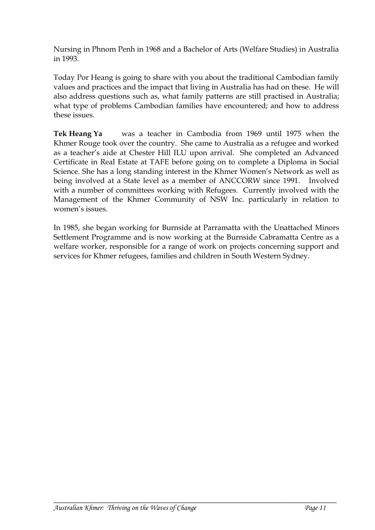Nursing in Phnom Penh in 1968 and a Bachelor of Arts (Welfare Studies) in Australia in 1993.

Today Por Heang is going to share with you about the traditional Cambodian family values and practices and the impact that living in Australia has had on these. He will also address questions such as, what family patterns are still practised in Australia; what type of problems Cambodian families have encountered; and how to address these issues.

**Tek Heang Ya** was a teacher in Cambodia from 1969 until 1975 when the Khmer Rouge took over the country. She came to Australia as a refugee and worked as a teacher's aide at Chester Hill ILU upon arrival. She completed an Advanced Certificate in Real Estate at TAFE before going on to complete a Diploma in Social Science. She has a long standing interest in the Khmer Women's Network as well as being involved at a State level as a member of ANCCORW since 1991. Involved with a number of committees working with Refugees. Currently involved with the Management of the Khmer Community of NSW Inc. particularly in relation to women's issues.

In 1985, she began working for Burnside at Parramatta with the Unattached Minors Settlement Programme and is now working at the Burnside Cabramatta Centre as a welfare worker, responsible for a range of work on projects concerning support and services for Khmer refugees, families and children in South Western Sydney.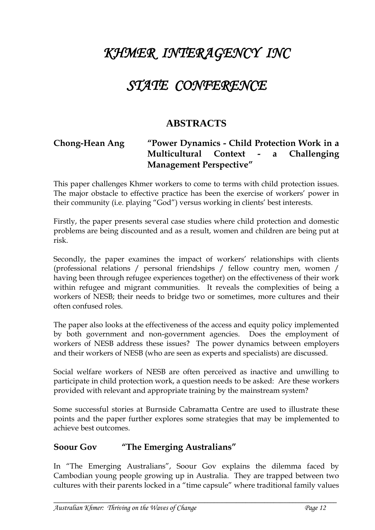# *KHMER INTERAGENCY INC*

## *STATE CONFERENCE*

#### **ABSTRACTS**

#### **Chong-Hean Ang "Power Dynamics - Child Protection Work in a Multicultural Context - a Challenging Management Perspective"**

This paper challenges Khmer workers to come to terms with child protection issues. The major obstacle to effective practice has been the exercise of workers' power in their community (i.e. playing "God") versus working in clients' best interests.

Firstly, the paper presents several case studies where child protection and domestic problems are being discounted and as a result, women and children are being put at risk.

Secondly, the paper examines the impact of workers' relationships with clients (professional relations / personal friendships / fellow country men, women / having been through refugee experiences together) on the effectiveness of their work within refugee and migrant communities. It reveals the complexities of being a workers of NESB; their needs to bridge two or sometimes, more cultures and their often confused roles.

The paper also looks at the effectiveness of the access and equity policy implemented by both government and non-government agencies. Does the employment of workers of NESB address these issues? The power dynamics between employers and their workers of NESB (who are seen as experts and specialists) are discussed.

Social welfare workers of NESB are often perceived as inactive and unwilling to participate in child protection work, a question needs to be asked: Are these workers provided with relevant and appropriate training by the mainstream system?

Some successful stories at Burnside Cabramatta Centre are used to illustrate these points and the paper further explores some strategies that may be implemented to achieve best outcomes.

#### **Soour Gov "The Emerging Australians"**

In "The Emerging Australians", Soour Gov explains the dilemma faced by Cambodian young people growing up in Australia. They are trapped between two cultures with their parents locked in a "time capsule" where traditional family values

**\_\_\_\_\_\_\_\_\_\_\_\_\_\_\_\_\_\_\_\_\_\_\_\_\_\_\_\_\_\_\_\_\_\_\_\_\_\_\_\_\_\_\_\_\_\_\_\_\_\_\_\_\_\_\_\_\_\_\_\_\_\_\_\_\_\_\_\_\_\_\_\_\_\_\_\_\_\_\_\_\_\_\_\_\_\_\_\_\_\_**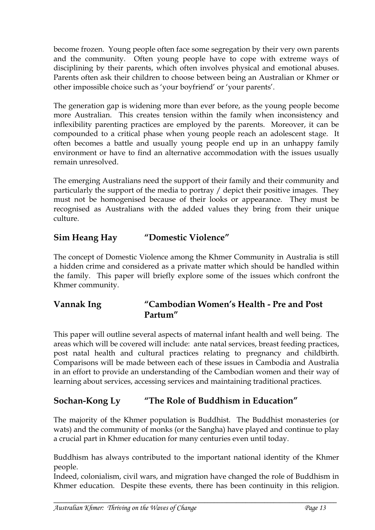become frozen. Young people often face some segregation by their very own parents and the community. Often young people have to cope with extreme ways of disciplining by their parents, which often involves physical and emotional abuses. Parents often ask their children to choose between being an Australian or Khmer or other impossible choice such as 'your boyfriend' or 'your parents'.

The generation gap is widening more than ever before, as the young people become more Australian. This creates tension within the family when inconsistency and inflexibility parenting practices are employed by the parents. Moreover, it can be compounded to a critical phase when young people reach an adolescent stage. It often becomes a battle and usually young people end up in an unhappy family environment or have to find an alternative accommodation with the issues usually remain unresolved.

The emerging Australians need the support of their family and their community and particularly the support of the media to portray / depict their positive images. They must not be homogenised because of their looks or appearance. They must be recognised as Australians with the added values they bring from their unique culture.

### **Sim Heang Hay "Domestic Violence"**

The concept of Domestic Violence among the Khmer Community in Australia is still a hidden crime and considered as a private matter which should be handled within the family. This paper will briefly explore some of the issues which confront the Khmer community.

#### **Vannak Ing "Cambodian Women's Health - Pre and Post Partum"**

This paper will outline several aspects of maternal infant health and well being. The areas which will be covered will include: ante natal services, breast feeding practices, post natal health and cultural practices relating to pregnancy and childbirth. Comparisons will be made between each of these issues in Cambodia and Australia in an effort to provide an understanding of the Cambodian women and their way of learning about services, accessing services and maintaining traditional practices.

## **Sochan-Kong Ly "The Role of Buddhism in Education"**

The majority of the Khmer population is Buddhist. The Buddhist monasteries (or wats) and the community of monks (or the Sangha) have played and continue to play a crucial part in Khmer education for many centuries even until today.

Buddhism has always contributed to the important national identity of the Khmer people.

Indeed, colonialism, civil wars, and migration have changed the role of Buddhism in Khmer education. Despite these events, there has been continuity in this religion.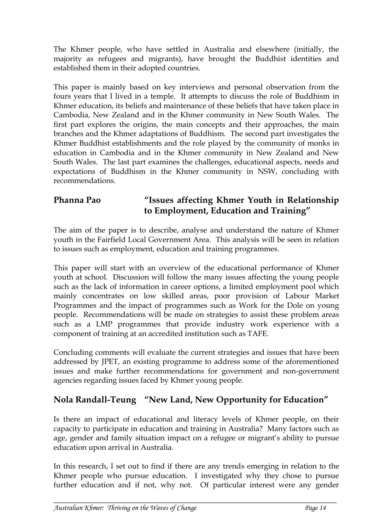The Khmer people, who have settled in Australia and elsewhere (initially, the majority as refugees and migrants), have brought the Buddhist identities and established them in their adopted countries.

This paper is mainly based on key interviews and personal observation from the fours years that I lived in a temple. It attempts to discuss the role of Buddhism in Khmer education, its beliefs and maintenance of these beliefs that have taken place in Cambodia, New Zealand and in the Khmer community in New South Wales. The first part explores the origins, the main concepts and their approaches, the main branches and the Khmer adaptations of Buddhism. The second part investigates the Khmer Buddhist establishments and the role played by the community of monks in education in Cambodia and in the Khmer community in New Zealand and New South Wales. The last part examines the challenges, educational aspects, needs and expectations of Buddhism in the Khmer community in NSW, concluding with recommendations.

#### **Phanna Pao "Issues affecting Khmer Youth in Relationship to Employment, Education and Training"**

The aim of the paper is to describe, analyse and understand the nature of Khmer youth in the Fairfield Local Government Area. This analysis will be seen in relation to issues such as employment, education and training programmes.

This paper will start with an overview of the educational performance of Khmer youth at school. Discussion will follow the many issues affecting the young people such as the lack of information in career options, a limited employment pool which mainly concentrates on low skilled areas, poor provision of Labour Market Programmes and the impact of programmes such as Work for the Dole on young people. Recommendations will be made on strategies to assist these problem areas such as a LMP programmes that provide industry work experience with a component of training at an accredited institution such as TAFE.

Concluding comments will evaluate the current strategies and issues that have been addressed by JPET, an existing programme to address some of the aforementioned issues and make further recommendations for government and non-government agencies regarding issues faced by Khmer young people.

#### **Nola Randall-Teung "New Land, New Opportunity for Education"**

Is there an impact of educational and literacy levels of Khmer people, on their capacity to participate in education and training in Australia? Many factors such as age, gender and family situation impact on a refugee or migrant's ability to pursue education upon arrival in Australia.

In this research, I set out to find if there are any trends emerging in relation to the Khmer people who pursue education. I investigated why they chose to pursue further education and if not, why not. Of particular interest were any gender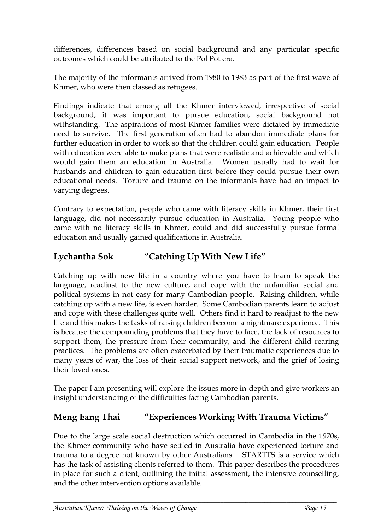differences, differences based on social background and any particular specific outcomes which could be attributed to the Pol Pot era.

The majority of the informants arrived from 1980 to 1983 as part of the first wave of Khmer, who were then classed as refugees.

Findings indicate that among all the Khmer interviewed, irrespective of social background, it was important to pursue education, social background not withstanding. The aspirations of most Khmer families were dictated by immediate need to survive. The first generation often had to abandon immediate plans for further education in order to work so that the children could gain education. People with education were able to make plans that were realistic and achievable and which would gain them an education in Australia. Women usually had to wait for husbands and children to gain education first before they could pursue their own educational needs. Torture and trauma on the informants have had an impact to varying degrees.

Contrary to expectation, people who came with literacy skills in Khmer, their first language, did not necessarily pursue education in Australia. Young people who came with no literacy skills in Khmer, could and did successfully pursue formal education and usually gained qualifications in Australia.

### **Lychantha Sok "Catching Up With New Life"**

Catching up with new life in a country where you have to learn to speak the language, readjust to the new culture, and cope with the unfamiliar social and political systems in not easy for many Cambodian people. Raising children, while catching up with a new life, is even harder. Some Cambodian parents learn to adjust and cope with these challenges quite well. Others find it hard to readjust to the new life and this makes the tasks of raising children become a nightmare experience. This is because the compounding problems that they have to face, the lack of resources to support them, the pressure from their community, and the different child rearing practices. The problems are often exacerbated by their traumatic experiences due to many years of war, the loss of their social support network, and the grief of losing their loved ones.

The paper I am presenting will explore the issues more in-depth and give workers an insight understanding of the difficulties facing Cambodian parents.

#### **Meng Eang Thai "Experiences Working With Trauma Victims"**

Due to the large scale social destruction which occurred in Cambodia in the 1970s, the Khmer community who have settled in Australia have experienced torture and trauma to a degree not known by other Australians. STARTTS is a service which has the task of assisting clients referred to them. This paper describes the procedures in place for such a client, outlining the initial assessment, the intensive counselling, and the other intervention options available.